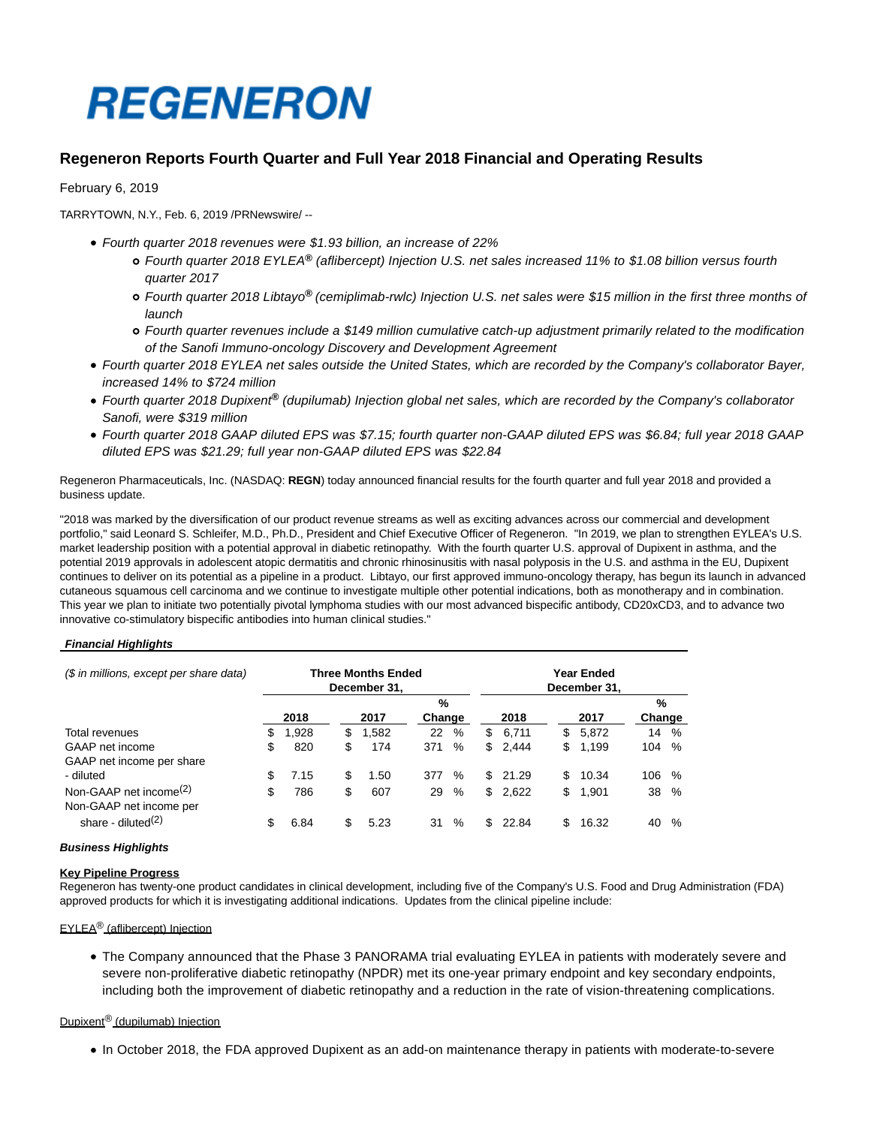# **REGENERON**

## **Regeneron Reports Fourth Quarter and Full Year 2018 Financial and Operating Results**

February 6, 2019

TARRYTOWN, N.Y., Feb. 6, 2019 /PRNewswire/ --

- Fourth quarter 2018 revenues were \$1.93 billion, an increase of 22%
	- Fourth quarter 2018 EYLEA**®** (aflibercept) Injection U.S. net sales increased 11% to \$1.08 billion versus fourth quarter 2017
	- Fourth quarter 2018 Libtayo**®** (cemiplimab-rwlc) Injection U.S. net sales were \$15 million in the first three months of launch
	- Fourth quarter revenues include a \$149 million cumulative catch-up adjustment primarily related to the modification of the Sanofi Immuno-oncology Discovery and Development Agreement
- Fourth quarter 2018 EYLEA net sales outside the United States, which are recorded by the Company's collaborator Bayer, increased 14% to \$724 million
- Fourth quarter 2018 Dupixent**®** (dupilumab) Injection global net sales, which are recorded by the Company's collaborator Sanofi, were \$319 million
- Fourth quarter 2018 GAAP diluted EPS was \$7.15; fourth quarter non-GAAP diluted EPS was \$6.84; full year 2018 GAAP diluted EPS was \$21.29; full year non-GAAP diluted EPS was \$22.84

Regeneron Pharmaceuticals, Inc. (NASDAQ: **REGN**) today announced financial results for the fourth quarter and full year 2018 and provided a business update.

"2018 was marked by the diversification of our product revenue streams as well as exciting advances across our commercial and development portfolio," said Leonard S. Schleifer, M.D., Ph.D., President and Chief Executive Officer of Regeneron. "In 2019, we plan to strengthen EYLEA's U.S. market leadership position with a potential approval in diabetic retinopathy. With the fourth quarter U.S. approval of Dupixent in asthma, and the potential 2019 approvals in adolescent atopic dermatitis and chronic rhinosinusitis with nasal polyposis in the U.S. and asthma in the EU, Dupixent continues to deliver on its potential as a pipeline in a product. Libtayo, our first approved immuno-oncology therapy, has begun its launch in advanced cutaneous squamous cell carcinoma and we continue to investigate multiple other potential indications, both as monotherapy and in combination. This year we plan to initiate two potentially pivotal lymphoma studies with our most advanced bispecific antibody, CD20xCD3, and to advance two innovative co-stimulatory bispecific antibodies into human clinical studies."

## **Financial Highlights**

|     |       | December 31. |       |      |                           |             |       |                             |       |                                 |                        |
|-----|-------|--------------|-------|------|---------------------------|-------------|-------|-----------------------------|-------|---------------------------------|------------------------|
|     |       |              |       |      |                           |             |       |                             |       | %                               |                        |
|     |       |              |       |      |                           |             |       |                             |       |                                 |                        |
| \$. | 1,928 | \$           | 1,582 | 22   | %                         | \$          | 6.711 |                             | 5,872 | 14                              | $\%$                   |
| \$  | 820   | \$           | 174   | 371  | %                         |             | 2,444 | \$                          | 1,199 | 104                             | %                      |
|     |       |              |       |      |                           |             |       |                             |       |                                 |                        |
| \$  | 7.15  | \$.          | 1.50  | 377  | $\%$                      |             |       | \$.                         | 10.34 | 106                             | %                      |
| \$  | 786   | \$           | 607   | 29   | %                         |             | 2,622 | \$                          | 1.901 | 38                              | %                      |
|     |       |              |       |      |                           |             |       |                             |       |                                 |                        |
|     | 6.84  | \$           | 5.23  | 31   | %                         |             | 22.84 | \$                          | 16.32 | 40                              | $\%$                   |
|     |       | 2018         |       | 2017 | <b>Three Months Ended</b> | %<br>Change | \$    | 2018<br>\$<br>\$21.29<br>\$ |       | <b>Year Ended</b><br>2017<br>\$ | December 31.<br>Change |

#### **Business Highlights**

## **Key Pipeline Progress**

Regeneron has twenty-one product candidates in clinical development, including five of the Company's U.S. Food and Drug Administration (FDA) approved products for which it is investigating additional indications. Updates from the clinical pipeline include:

#### **EYLEA<sup>®</sup>** (aflibercept) Injection

The Company announced that the Phase 3 PANORAMA trial evaluating EYLEA in patients with moderately severe and severe non-proliferative diabetic retinopathy (NPDR) met its one-year primary endpoint and key secondary endpoints, including both the improvement of diabetic retinopathy and a reduction in the rate of vision-threatening complications.

## Dupixent® (dupilumab) Injection

In October 2018, the FDA approved Dupixent as an add-on maintenance therapy in patients with moderate-to-severe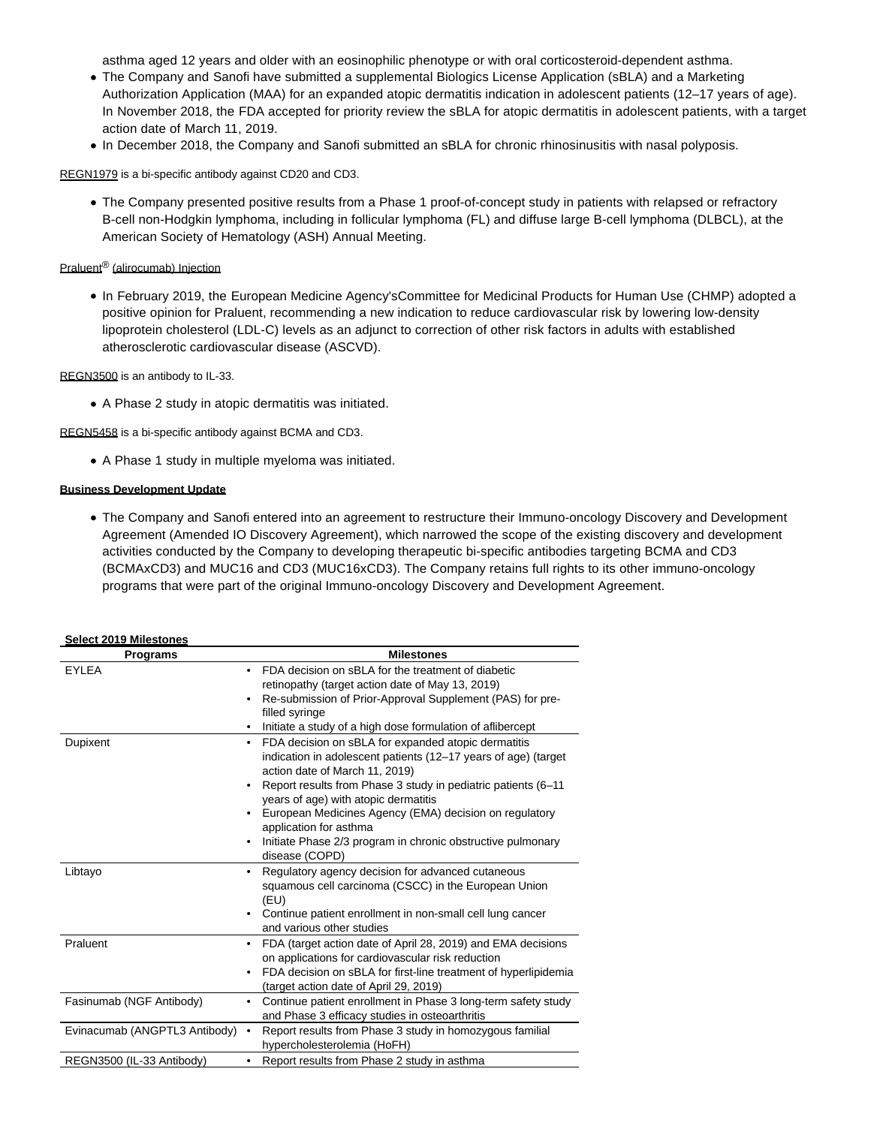asthma aged 12 years and older with an eosinophilic phenotype or with oral corticosteroid-dependent asthma.

- The Company and Sanofi have submitted a supplemental Biologics License Application (sBLA) and a Marketing Authorization Application (MAA) for an expanded atopic dermatitis indication in adolescent patients (12–17 years of age). In November 2018, the FDA accepted for priority review the sBLA for atopic dermatitis in adolescent patients, with a target action date of March 11, 2019.
- In December 2018, the Company and Sanofi submitted an sBLA for chronic rhinosinusitis with nasal polyposis.

REGN1979 is a bi-specific antibody against CD20 and CD3.

The Company presented positive results from a Phase 1 proof-of-concept study in patients with relapsed or refractory B-cell non-Hodgkin lymphoma, including in follicular lymphoma (FL) and diffuse large B-cell lymphoma (DLBCL), at the American Society of Hematology (ASH) Annual Meeting.

## Praluent® (alirocumab) Injection

In February 2019, the European Medicine Agency'sCommittee for Medicinal Products for Human Use (CHMP) adopted a positive opinion for Praluent, recommending a new indication to reduce cardiovascular risk by lowering low-density lipoprotein cholesterol (LDL-C) levels as an adjunct to correction of other risk factors in adults with established atherosclerotic cardiovascular disease (ASCVD).

REGN3500 is an antibody to IL-33.

A Phase 2 study in atopic dermatitis was initiated.

REGN5458 is a bi-specific antibody against BCMA and CD3.

A Phase 1 study in multiple myeloma was initiated.

#### **Business Development Update**

The Company and Sanofi entered into an agreement to restructure their Immuno-oncology Discovery and Development Agreement (Amended IO Discovery Agreement), which narrowed the scope of the existing discovery and development activities conducted by the Company to developing therapeutic bi-specific antibodies targeting BCMA and CD3 (BCMAxCD3) and MUC16 and CD3 (MUC16xCD3). The Company retains full rights to its other immuno-oncology programs that were part of the original Immuno-oncology Discovery and Development Agreement.

| <b>Select 2019 Milestones</b>              |                                                                                                                                                                                                                                                                                                                                                                                                                                       |
|--------------------------------------------|---------------------------------------------------------------------------------------------------------------------------------------------------------------------------------------------------------------------------------------------------------------------------------------------------------------------------------------------------------------------------------------------------------------------------------------|
| <b>Programs</b>                            | <b>Milestones</b>                                                                                                                                                                                                                                                                                                                                                                                                                     |
| <b>EYLEA</b>                               | FDA decision on sBLA for the treatment of diabetic<br>retinopathy (target action date of May 13, 2019)<br>Re-submission of Prior-Approval Supplement (PAS) for pre-<br>filled syringe<br>Initiate a study of a high dose formulation of aflibercept                                                                                                                                                                                   |
| Dupixent<br>$\bullet$                      | FDA decision on sBLA for expanded atopic dermatitis<br>indication in adolescent patients (12-17 years of age) (target<br>action date of March 11, 2019)<br>Report results from Phase 3 study in pediatric patients (6-11<br>years of age) with atopic dermatitis<br>European Medicines Agency (EMA) decision on regulatory<br>application for asthma<br>Initiate Phase 2/3 program in chronic obstructive pulmonary<br>disease (COPD) |
| Libtayo<br>٠                               | Regulatory agency decision for advanced cutaneous<br>squamous cell carcinoma (CSCC) in the European Union<br>(EU)<br>Continue patient enrollment in non-small cell lung cancer<br>and various other studies                                                                                                                                                                                                                           |
| Praluent<br>٠                              | FDA (target action date of April 28, 2019) and EMA decisions<br>on applications for cardiovascular risk reduction<br>FDA decision on sBLA for first-line treatment of hyperlipidemia<br>(target action date of April 29, 2019)                                                                                                                                                                                                        |
| Fasinumab (NGF Antibody)<br>٠              | Continue patient enrollment in Phase 3 long-term safety study<br>and Phase 3 efficacy studies in osteoarthritis                                                                                                                                                                                                                                                                                                                       |
| Evinacumab (ANGPTL3 Antibody)<br>$\bullet$ | Report results from Phase 3 study in homozygous familial<br>hypercholesterolemia (HoFH)                                                                                                                                                                                                                                                                                                                                               |
| REGN3500 (IL-33 Antibody)                  | Report results from Phase 2 study in asthma                                                                                                                                                                                                                                                                                                                                                                                           |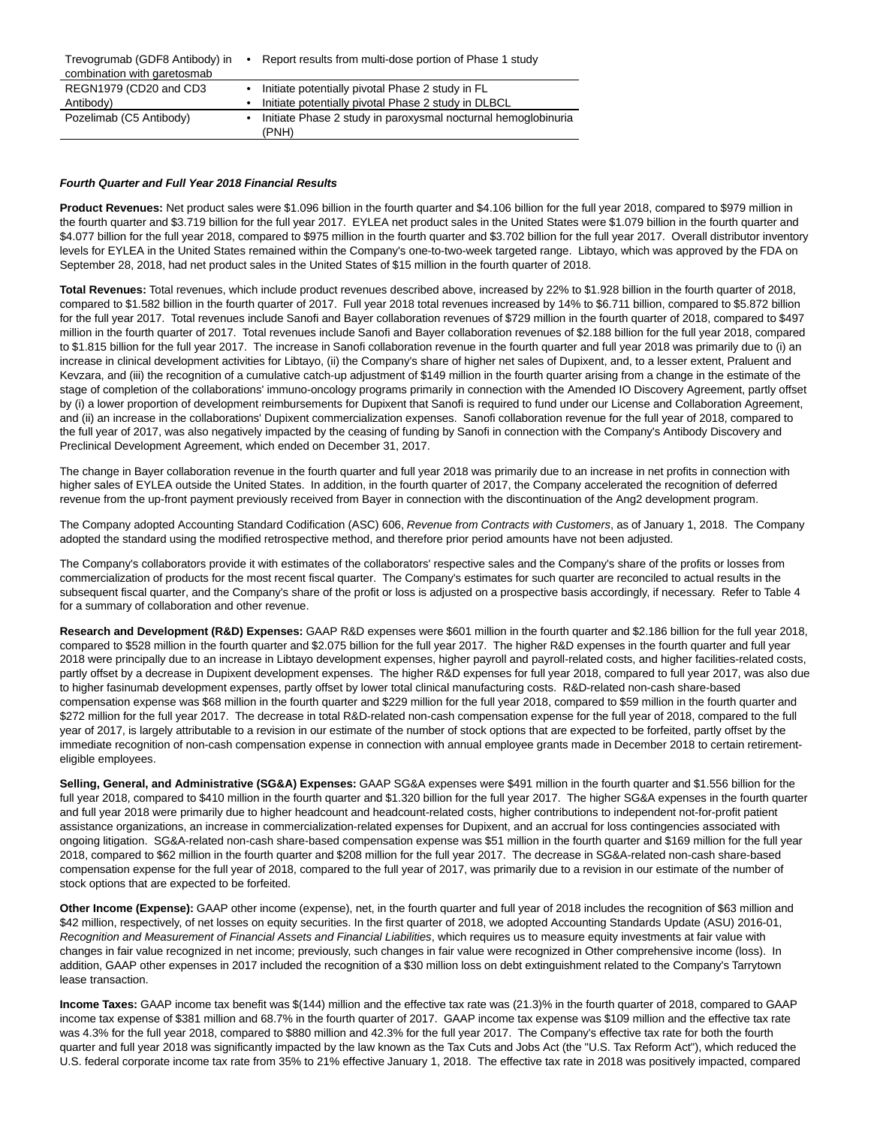| Trevogrumab (GDF8 Antibody) in | Report results from multi-dose portion of Phase 1 study<br>$\bullet$ |
|--------------------------------|----------------------------------------------------------------------|
| combination with garetosmab    |                                                                      |
| REGN1979 (CD20 and CD3         | Initiate potentially pivotal Phase 2 study in FL                     |
| Antibody)                      | Initiate potentially pivotal Phase 2 study in DLBCL                  |
| Pozelimab (C5 Antibody)        | Initiate Phase 2 study in paroxysmal nocturnal hemoglobinuria        |
|                                | (PNH)                                                                |

#### **Fourth Quarter and Full Year 2018 Financial Results**

**Product Revenues:** Net product sales were \$1.096 billion in the fourth quarter and \$4.106 billion for the full year 2018, compared to \$979 million in the fourth quarter and \$3.719 billion for the full year 2017. EYLEA net product sales in the United States were \$1.079 billion in the fourth quarter and \$4.077 billion for the full year 2018, compared to \$975 million in the fourth quarter and \$3.702 billion for the full year 2017. Overall distributor inventory levels for EYLEA in the United States remained within the Company's one-to-two-week targeted range. Libtayo, which was approved by the FDA on September 28, 2018, had net product sales in the United States of \$15 million in the fourth quarter of 2018.

Total Revenues: Total revenues, which include product revenues described above, increased by 22% to \$1.928 billion in the fourth quarter of 2018, compared to \$1.582 billion in the fourth quarter of 2017. Full year 2018 total revenues increased by 14% to \$6.711 billion, compared to \$5.872 billion for the full year 2017. Total revenues include Sanofi and Bayer collaboration revenues of \$729 million in the fourth quarter of 2018, compared to \$497 million in the fourth quarter of 2017. Total revenues include Sanofi and Bayer collaboration revenues of \$2.188 billion for the full year 2018, compared to \$1.815 billion for the full year 2017. The increase in Sanofi collaboration revenue in the fourth quarter and full year 2018 was primarily due to (i) an increase in clinical development activities for Libtayo, (ii) the Company's share of higher net sales of Dupixent, and, to a lesser extent, Praluent and Kevzara, and (iii) the recognition of a cumulative catch-up adjustment of \$149 million in the fourth quarter arising from a change in the estimate of the stage of completion of the collaborations' immuno-oncology programs primarily in connection with the Amended IO Discovery Agreement, partly offset by (i) a lower proportion of development reimbursements for Dupixent that Sanofi is required to fund under our License and Collaboration Agreement, and (ii) an increase in the collaborations' Dupixent commercialization expenses. Sanofi collaboration revenue for the full year of 2018, compared to the full year of 2017, was also negatively impacted by the ceasing of funding by Sanofi in connection with the Company's Antibody Discovery and Preclinical Development Agreement, which ended on December 31, 2017.

The change in Bayer collaboration revenue in the fourth quarter and full year 2018 was primarily due to an increase in net profits in connection with higher sales of EYLEA outside the United States. In addition, in the fourth quarter of 2017, the Company accelerated the recognition of deferred revenue from the up-front payment previously received from Bayer in connection with the discontinuation of the Ang2 development program.

The Company adopted Accounting Standard Codification (ASC) 606, Revenue from Contracts with Customers, as of January 1, 2018. The Company adopted the standard using the modified retrospective method, and therefore prior period amounts have not been adjusted.

The Company's collaborators provide it with estimates of the collaborators' respective sales and the Company's share of the profits or losses from commercialization of products for the most recent fiscal quarter. The Company's estimates for such quarter are reconciled to actual results in the subsequent fiscal quarter, and the Company's share of the profit or loss is adjusted on a prospective basis accordingly, if necessary. Refer to Table 4 for a summary of collaboration and other revenue.

**Research and Development (R&D) Expenses:** GAAP R&D expenses were \$601 million in the fourth quarter and \$2.186 billion for the full year 2018, compared to \$528 million in the fourth quarter and \$2.075 billion for the full year 2017. The higher R&D expenses in the fourth quarter and full year 2018 were principally due to an increase in Libtayo development expenses, higher payroll and payroll-related costs, and higher facilities-related costs, partly offset by a decrease in Dupixent development expenses. The higher R&D expenses for full year 2018, compared to full year 2017, was also due to higher fasinumab development expenses, partly offset by lower total clinical manufacturing costs. R&D-related non-cash share-based compensation expense was \$68 million in the fourth quarter and \$229 million for the full year 2018, compared to \$59 million in the fourth quarter and \$272 million for the full year 2017. The decrease in total R&D-related non-cash compensation expense for the full year of 2018, compared to the full year of 2017, is largely attributable to a revision in our estimate of the number of stock options that are expected to be forfeited, partly offset by the immediate recognition of non-cash compensation expense in connection with annual employee grants made in December 2018 to certain retirementeligible employees.

**Selling, General, and Administrative (SG&A) Expenses:** GAAP SG&A expenses were \$491 million in the fourth quarter and \$1.556 billion for the full year 2018, compared to \$410 million in the fourth quarter and \$1.320 billion for the full year 2017. The higher SG&A expenses in the fourth quarter and full year 2018 were primarily due to higher headcount and headcount-related costs, higher contributions to independent not-for-profit patient assistance organizations, an increase in commercialization-related expenses for Dupixent, and an accrual for loss contingencies associated with ongoing litigation. SG&A-related non-cash share-based compensation expense was \$51 million in the fourth quarter and \$169 million for the full year 2018, compared to \$62 million in the fourth quarter and \$208 million for the full year 2017. The decrease in SG&A-related non-cash share-based compensation expense for the full year of 2018, compared to the full year of 2017, was primarily due to a revision in our estimate of the number of stock options that are expected to be forfeited.

**Other Income (Expense):** GAAP other income (expense), net, in the fourth quarter and full year of 2018 includes the recognition of \$63 million and \$42 million, respectively, of net losses on equity securities. In the first quarter of 2018, we adopted Accounting Standards Update (ASU) 2016-01, Recognition and Measurement of Financial Assets and Financial Liabilities, which requires us to measure equity investments at fair value with changes in fair value recognized in net income; previously, such changes in fair value were recognized in Other comprehensive income (loss). In addition, GAAP other expenses in 2017 included the recognition of a \$30 million loss on debt extinguishment related to the Company's Tarrytown lease transaction.

**Income Taxes:** GAAP income tax benefit was \$(144) million and the effective tax rate was (21.3)% in the fourth quarter of 2018, compared to GAAP income tax expense of \$381 million and 68.7% in the fourth quarter of 2017. GAAP income tax expense was \$109 million and the effective tax rate was 4.3% for the full year 2018, compared to \$880 million and 42.3% for the full year 2017. The Company's effective tax rate for both the fourth quarter and full year 2018 was significantly impacted by the law known as the Tax Cuts and Jobs Act (the "U.S. Tax Reform Act"), which reduced the U.S. federal corporate income tax rate from 35% to 21% effective January 1, 2018. The effective tax rate in 2018 was positively impacted, compared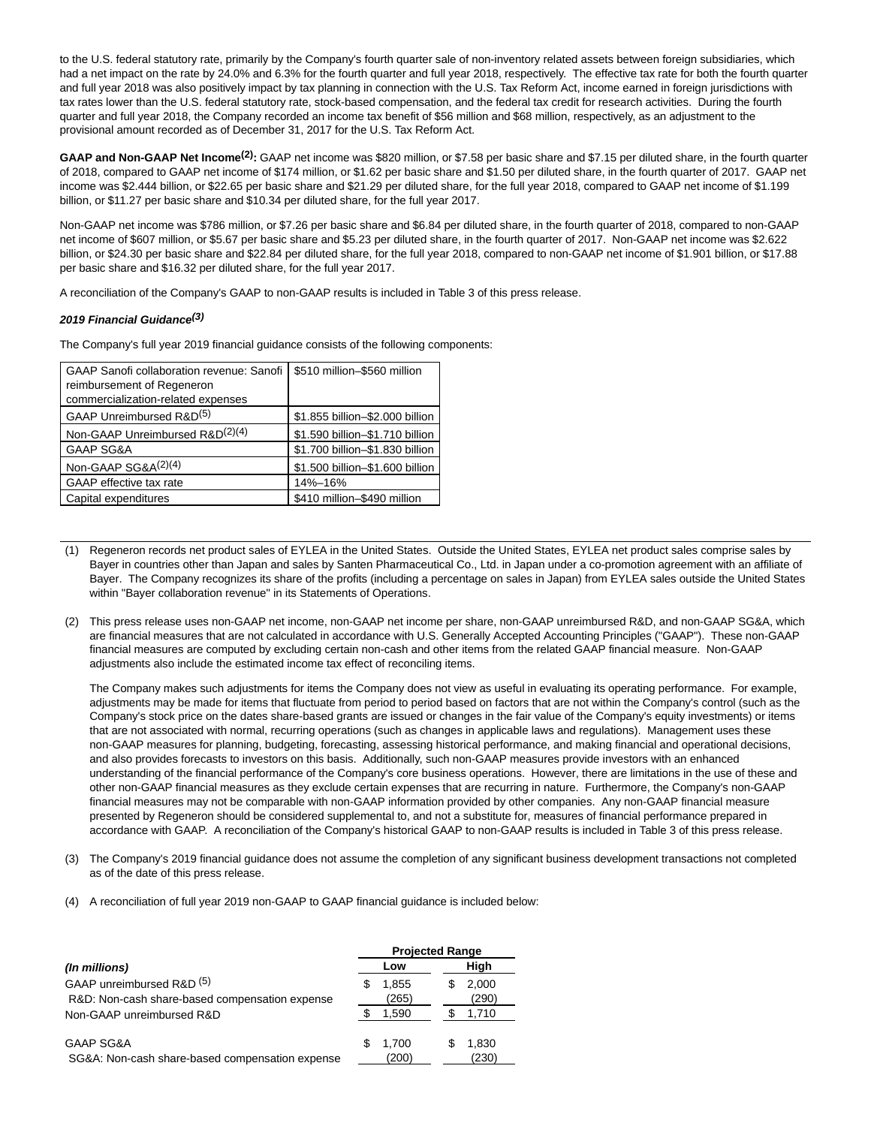to the U.S. federal statutory rate, primarily by the Company's fourth quarter sale of non-inventory related assets between foreign subsidiaries, which had a net impact on the rate by 24.0% and 6.3% for the fourth quarter and full year 2018, respectively. The effective tax rate for both the fourth quarter and full year 2018 was also positively impact by tax planning in connection with the U.S. Tax Reform Act, income earned in foreign jurisdictions with tax rates lower than the U.S. federal statutory rate, stock-based compensation, and the federal tax credit for research activities. During the fourth quarter and full year 2018, the Company recorded an income tax benefit of \$56 million and \$68 million, respectively, as an adjustment to the provisional amount recorded as of December 31, 2017 for the U.S. Tax Reform Act.

**GAAP and Non-GAAP Net Income(2):** GAAP net income was \$820 million, or \$7.58 per basic share and \$7.15 per diluted share, in the fourth quarter of 2018, compared to GAAP net income of \$174 million, or \$1.62 per basic share and \$1.50 per diluted share, in the fourth quarter of 2017. GAAP net income was \$2.444 billion, or \$22.65 per basic share and \$21.29 per diluted share, for the full year 2018, compared to GAAP net income of \$1.199 billion, or \$11.27 per basic share and \$10.34 per diluted share, for the full year 2017.

Non-GAAP net income was \$786 million, or \$7.26 per basic share and \$6.84 per diluted share, in the fourth quarter of 2018, compared to non-GAAP net income of \$607 million, or \$5.67 per basic share and \$5.23 per diluted share, in the fourth quarter of 2017. Non-GAAP net income was \$2.622 billion, or \$24.30 per basic share and \$22.84 per diluted share, for the full year 2018, compared to non-GAAP net income of \$1.901 billion, or \$17.88 per basic share and \$16.32 per diluted share, for the full year 2017.

A reconciliation of the Company's GAAP to non-GAAP results is included in Table 3 of this press release.

#### **2019 Financial Guidance(3)**

The Company's full year 2019 financial guidance consists of the following components:

| GAAP Sanofi collaboration revenue: Sanofi | \$510 million-\$560 million     |
|-------------------------------------------|---------------------------------|
| reimbursement of Regeneron                |                                 |
| commercialization-related expenses        |                                 |
| GAAP Unreimbursed R&D <sup>(5)</sup>      | \$1.855 billion-\$2.000 billion |
| Non-GAAP Unreimbursed R&D(2)(4)           | \$1.590 billion-\$1.710 billion |
| <b>GAAP SG&amp;A</b>                      | \$1.700 billion-\$1.830 billion |
| Non-GAAP SG&A <sup>(2)(4)</sup>           | \$1.500 billion-\$1.600 billion |
| GAAP effective tax rate                   | 14%-16%                         |
| Capital expenditures                      | \$410 million-\$490 million     |

- (1) Regeneron records net product sales of EYLEA in the United States. Outside the United States, EYLEA net product sales comprise sales by Bayer in countries other than Japan and sales by Santen Pharmaceutical Co., Ltd. in Japan under a co-promotion agreement with an affiliate of Bayer. The Company recognizes its share of the profits (including a percentage on sales in Japan) from EYLEA sales outside the United States within "Bayer collaboration revenue" in its Statements of Operations.
- (2) This press release uses non-GAAP net income, non-GAAP net income per share, non-GAAP unreimbursed R&D, and non-GAAP SG&A, which are financial measures that are not calculated in accordance with U.S. Generally Accepted Accounting Principles ("GAAP"). These non-GAAP financial measures are computed by excluding certain non-cash and other items from the related GAAP financial measure. Non-GAAP adjustments also include the estimated income tax effect of reconciling items.

The Company makes such adjustments for items the Company does not view as useful in evaluating its operating performance. For example, adjustments may be made for items that fluctuate from period to period based on factors that are not within the Company's control (such as the Company's stock price on the dates share-based grants are issued or changes in the fair value of the Company's equity investments) or items that are not associated with normal, recurring operations (such as changes in applicable laws and regulations). Management uses these non-GAAP measures for planning, budgeting, forecasting, assessing historical performance, and making financial and operational decisions, and also provides forecasts to investors on this basis. Additionally, such non-GAAP measures provide investors with an enhanced understanding of the financial performance of the Company's core business operations. However, there are limitations in the use of these and other non-GAAP financial measures as they exclude certain expenses that are recurring in nature. Furthermore, the Company's non-GAAP financial measures may not be comparable with non-GAAP information provided by other companies. Any non-GAAP financial measure presented by Regeneron should be considered supplemental to, and not a substitute for, measures of financial performance prepared in accordance with GAAP. A reconciliation of the Company's historical GAAP to non-GAAP results is included in Table 3 of this press release.

- (3) The Company's 2019 financial guidance does not assume the completion of any significant business development transactions not completed as of the date of this press release.
- (4) A reconciliation of full year 2019 non-GAAP to GAAP financial guidance is included below:

|                                                                                        | <b>Projected Range</b> |                |  |  |  |  |  |
|----------------------------------------------------------------------------------------|------------------------|----------------|--|--|--|--|--|
| (In millions)                                                                          | Low                    | High           |  |  |  |  |  |
| GAAP unreimbursed R&D <sup>(5)</sup><br>R&D: Non-cash share-based compensation expense | 1.855<br>£.<br>(265)   | 2.000<br>(290) |  |  |  |  |  |
| Non-GAAP unreimbursed R&D                                                              | 1.590                  | 1,710          |  |  |  |  |  |
| <b>GAAP SG&amp;A</b><br>SG&A: Non-cash share-based compensation expense                | 1.700<br>S<br>(200)    | 1,830<br>(230) |  |  |  |  |  |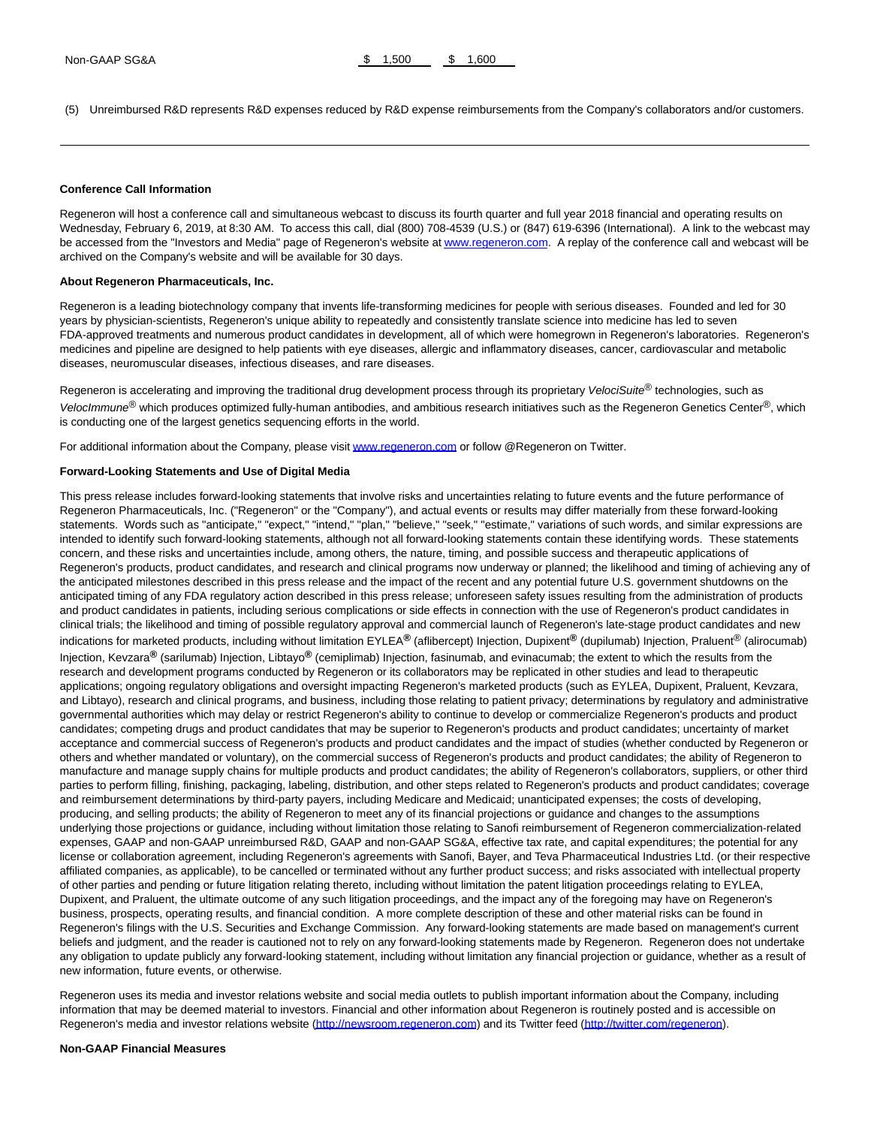(5) Unreimbursed R&D represents R&D expenses reduced by R&D expense reimbursements from the Company's collaborators and/or customers.

#### **Conference Call Information**

Regeneron will host a conference call and simultaneous webcast to discuss its fourth quarter and full year 2018 financial and operating results on Wednesday, February 6, 2019, at 8:30 AM. To access this call, dial (800) 708-4539 (U.S.) or (847) 619-6396 (International). A link to the webcast may be accessed from the "Investors and Media" page of Regeneron's website a[t www.regeneron.com.](http://www.regeneron.com/) A replay of the conference call and webcast will be archived on the Company's website and will be available for 30 days.

#### **About Regeneron Pharmaceuticals, Inc.**

Regeneron is a leading biotechnology company that invents life-transforming medicines for people with serious diseases. Founded and led for 30 years by physician-scientists, Regeneron's unique ability to repeatedly and consistently translate science into medicine has led to seven FDA-approved treatments and numerous product candidates in development, all of which were homegrown in Regeneron's laboratories. Regeneron's medicines and pipeline are designed to help patients with eye diseases, allergic and inflammatory diseases, cancer, cardiovascular and metabolic diseases, neuromuscular diseases, infectious diseases, and rare diseases.

Regeneron is accelerating and improving the traditional drug development process through its proprietary VelociSuite® technologies, such as VelocImmune<sup>®</sup> which produces optimized fully-human antibodies, and ambitious research initiatives such as the Regeneron Genetics Center<sup>®</sup>, which is conducting one of the largest genetics sequencing efforts in the world.

For additional information about the Company, please visi[t www.regeneron.com o](https://c212.net/c/link/?t=0&l=en&o=2367108-1&h=3828491235&u=http%3A%2F%2Fwww.regeneron.com%2F&a=www.regeneron.com)r follow @Regeneron on Twitter.

#### **Forward-Looking Statements and Use of Digital Media**

This press release includes forward-looking statements that involve risks and uncertainties relating to future events and the future performance of Regeneron Pharmaceuticals, Inc. ("Regeneron" or the "Company"), and actual events or results may differ materially from these forward-looking statements. Words such as "anticipate," "expect," "intend," "plan," "believe," "seek," "estimate," variations of such words, and similar expressions are intended to identify such forward-looking statements, although not all forward-looking statements contain these identifying words. These statements concern, and these risks and uncertainties include, among others, the nature, timing, and possible success and therapeutic applications of Regeneron's products, product candidates, and research and clinical programs now underway or planned; the likelihood and timing of achieving any of the anticipated milestones described in this press release and the impact of the recent and any potential future U.S. government shutdowns on the anticipated timing of any FDA regulatory action described in this press release; unforeseen safety issues resulting from the administration of products and product candidates in patients, including serious complications or side effects in connection with the use of Regeneron's product candidates in clinical trials; the likelihood and timing of possible regulatory approval and commercial launch of Regeneron's late-stage product candidates and new indications for marketed products, including without limitation EYLEA**®** (aflibercept) Injection, Dupixent**®** (dupilumab) Injection, Praluent® (alirocumab) Injection, Kevzara**®** (sarilumab) Injection, Libtayo**®** (cemiplimab) Injection, fasinumab, and evinacumab; the extent to which the results from the research and development programs conducted by Regeneron or its collaborators may be replicated in other studies and lead to therapeutic applications; ongoing regulatory obligations and oversight impacting Regeneron's marketed products (such as EYLEA, Dupixent, Praluent, Kevzara, and Libtayo), research and clinical programs, and business, including those relating to patient privacy; determinations by regulatory and administrative governmental authorities which may delay or restrict Regeneron's ability to continue to develop or commercialize Regeneron's products and product candidates; competing drugs and product candidates that may be superior to Regeneron's products and product candidates; uncertainty of market acceptance and commercial success of Regeneron's products and product candidates and the impact of studies (whether conducted by Regeneron or others and whether mandated or voluntary), on the commercial success of Regeneron's products and product candidates; the ability of Regeneron to manufacture and manage supply chains for multiple products and product candidates; the ability of Regeneron's collaborators, suppliers, or other third parties to perform filling, finishing, packaging, labeling, distribution, and other steps related to Regeneron's products and product candidates; coverage and reimbursement determinations by third-party payers, including Medicare and Medicaid; unanticipated expenses; the costs of developing, producing, and selling products; the ability of Regeneron to meet any of its financial projections or guidance and changes to the assumptions underlying those projections or guidance, including without limitation those relating to Sanofi reimbursement of Regeneron commercialization-related expenses, GAAP and non-GAAP unreimbursed R&D, GAAP and non-GAAP SG&A, effective tax rate, and capital expenditures; the potential for any license or collaboration agreement, including Regeneron's agreements with Sanofi, Bayer, and Teva Pharmaceutical Industries Ltd. (or their respective affiliated companies, as applicable), to be cancelled or terminated without any further product success; and risks associated with intellectual property of other parties and pending or future litigation relating thereto, including without limitation the patent litigation proceedings relating to EYLEA, Dupixent, and Praluent, the ultimate outcome of any such litigation proceedings, and the impact any of the foregoing may have on Regeneron's business, prospects, operating results, and financial condition. A more complete description of these and other material risks can be found in Regeneron's filings with the U.S. Securities and Exchange Commission. Any forward-looking statements are made based on management's current beliefs and judgment, and the reader is cautioned not to rely on any forward-looking statements made by Regeneron. Regeneron does not undertake any obligation to update publicly any forward-looking statement, including without limitation any financial projection or guidance, whether as a result of new information, future events, or otherwise.

Regeneron uses its media and investor relations website and social media outlets to publish important information about the Company, including information that may be deemed material to investors. Financial and other information about Regeneron is routinely posted and is accessible on Regeneron's media and investor relations website [\(http://newsroom.regeneron.com\)](https://c212.net/c/link/?t=0&l=en&o=2367108-1&h=3445315737&u=http%3A%2F%2Fnewsroom.regeneron.com%2F&a=http%3A%2F%2Fnewsroom.regeneron.com) and its Twitter feed [\(http://twitter.com/regeneron\).](https://c212.net/c/link/?t=0&l=en&o=2367108-1&h=769767273&u=http%3A%2F%2Ftwitter.com%2Fregeneron&a=http%3A%2F%2Ftwitter.com%2Fregeneron)

#### **Non-GAAP Financial Measures**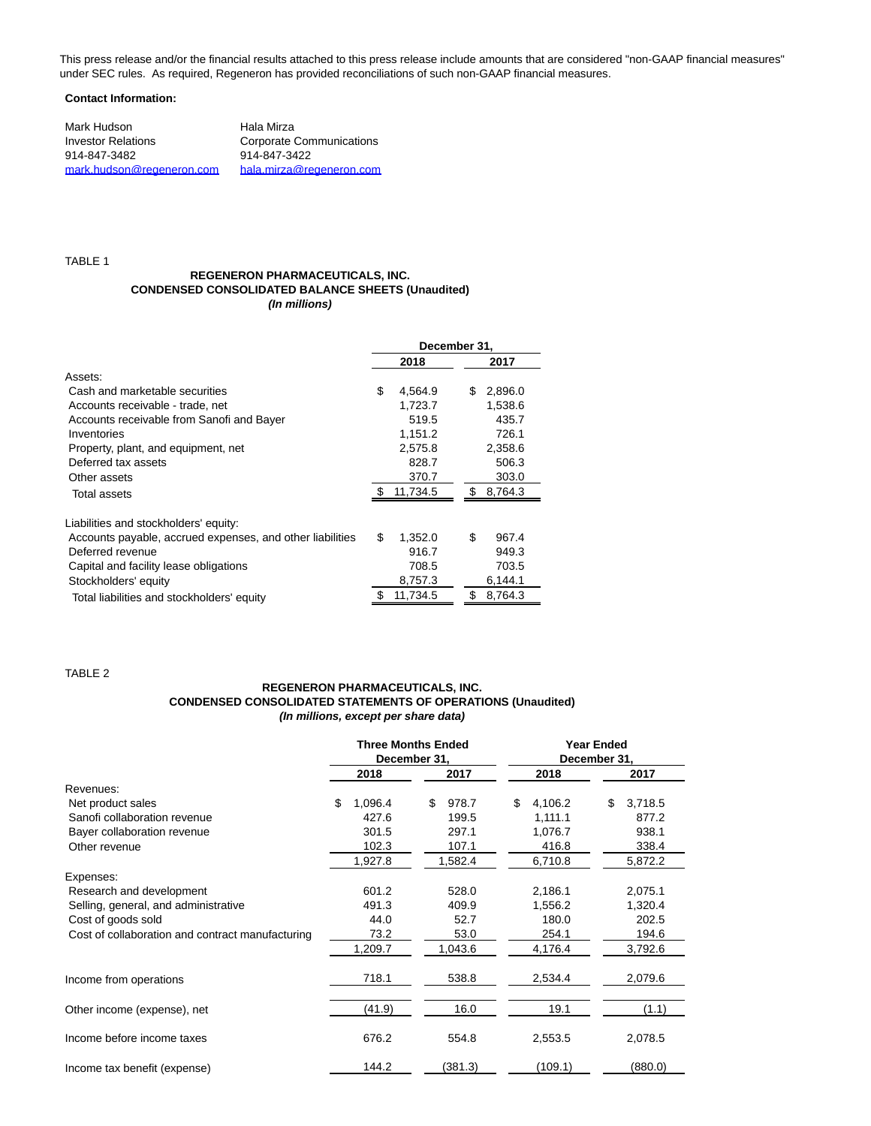This press release and/or the financial results attached to this press release include amounts that are considered "non-GAAP financial measures" under SEC rules. As required, Regeneron has provided reconciliations of such non-GAAP financial measures.

#### **Contact Information:**

| Mark Hudson               | Hala Mirza               |
|---------------------------|--------------------------|
| <b>Investor Relations</b> | Corporate Communications |
| 914-847-3482              | 914-847-3422             |
| mark.hudson@regeneron.com | hala.mirza@regeneron.com |

TABLE 1

#### **REGENERON PHARMACEUTICALS, INC. CONDENSED CONSOLIDATED BALANCE SHEETS (Unaudited) (In millions)**

|                                                           |    | December 31. |    |         |  |
|-----------------------------------------------------------|----|--------------|----|---------|--|
|                                                           |    | 2018         |    | 2017    |  |
| Assets:                                                   |    |              |    |         |  |
| Cash and marketable securities                            | \$ | 4,564.9      | \$ | 2,896.0 |  |
| Accounts receivable - trade, net                          |    | 1,723.7      |    | 1,538.6 |  |
| Accounts receivable from Sanofi and Bayer                 |    | 519.5        |    | 435.7   |  |
| Inventories                                               |    | 1,151.2      |    | 726.1   |  |
| Property, plant, and equipment, net                       |    | 2,575.8      |    | 2,358.6 |  |
| Deferred tax assets                                       |    | 828.7        |    | 506.3   |  |
| Other assets                                              |    | 370.7        |    | 303.0   |  |
| Total assets                                              |    | 11,734.5     | S  | 8,764.3 |  |
| Liabilities and stockholders' equity:                     |    |              |    |         |  |
| Accounts payable, accrued expenses, and other liabilities | \$ | 1,352.0      | \$ | 967.4   |  |
| Deferred revenue                                          |    | 916.7        |    | 949.3   |  |
| Capital and facility lease obligations                    |    | 708.5        |    | 703.5   |  |
| Stockholders' equity                                      |    | 8,757.3      |    | 6,144.1 |  |
| Total liabilities and stockholders' equity                | S  | 11,734.5     | \$ | 8.764.3 |  |

TABLE 2

#### **REGENERON PHARMACEUTICALS, INC. CONDENSED CONSOLIDATED STATEMENTS OF OPERATIONS (Unaudited) (In millions, except per share data)**

|                                                  |               | <b>Three Months Ended</b><br>December 31, | <b>Year Ended</b><br>December 31, |               |  |  |
|--------------------------------------------------|---------------|-------------------------------------------|-----------------------------------|---------------|--|--|
|                                                  | 2018          | 2017                                      | 2018                              | 2017          |  |  |
| Revenues:                                        |               |                                           |                                   |               |  |  |
| Net product sales                                | \$<br>1,096.4 | \$<br>978.7                               | \$<br>4,106.2                     | \$<br>3,718.5 |  |  |
| Sanofi collaboration revenue                     | 427.6         | 199.5                                     | 1,111.1                           | 877.2         |  |  |
| Bayer collaboration revenue                      | 301.5         | 297.1                                     | 1,076.7                           | 938.1         |  |  |
| Other revenue                                    | 102.3         | 107.1                                     | 416.8                             | 338.4         |  |  |
|                                                  | 1,927.8       | 1,582.4                                   | 6,710.8                           | 5,872.2       |  |  |
| Expenses:                                        |               |                                           |                                   |               |  |  |
| Research and development                         | 601.2         | 528.0                                     | 2,186.1                           | 2,075.1       |  |  |
| Selling, general, and administrative             | 491.3         | 409.9                                     | 1,556.2                           | 1,320.4       |  |  |
| Cost of goods sold                               | 44.0          | 52.7                                      | 180.0                             | 202.5         |  |  |
| Cost of collaboration and contract manufacturing | 73.2          | 53.0                                      | 254.1                             | 194.6         |  |  |
|                                                  | 1,209.7       | 1,043.6                                   | 4,176.4                           | 3,792.6       |  |  |
| Income from operations                           | 718.1         | 538.8                                     | 2,534.4                           | 2,079.6       |  |  |
| Other income (expense), net                      | (41.9)        | 16.0                                      | 19.1                              | (1.1)         |  |  |
| Income before income taxes                       | 676.2         | 554.8                                     | 2,553.5                           | 2,078.5       |  |  |
| Income tax benefit (expense)                     | 144.2         | (381.3)                                   | (109.1)                           | (880.0)       |  |  |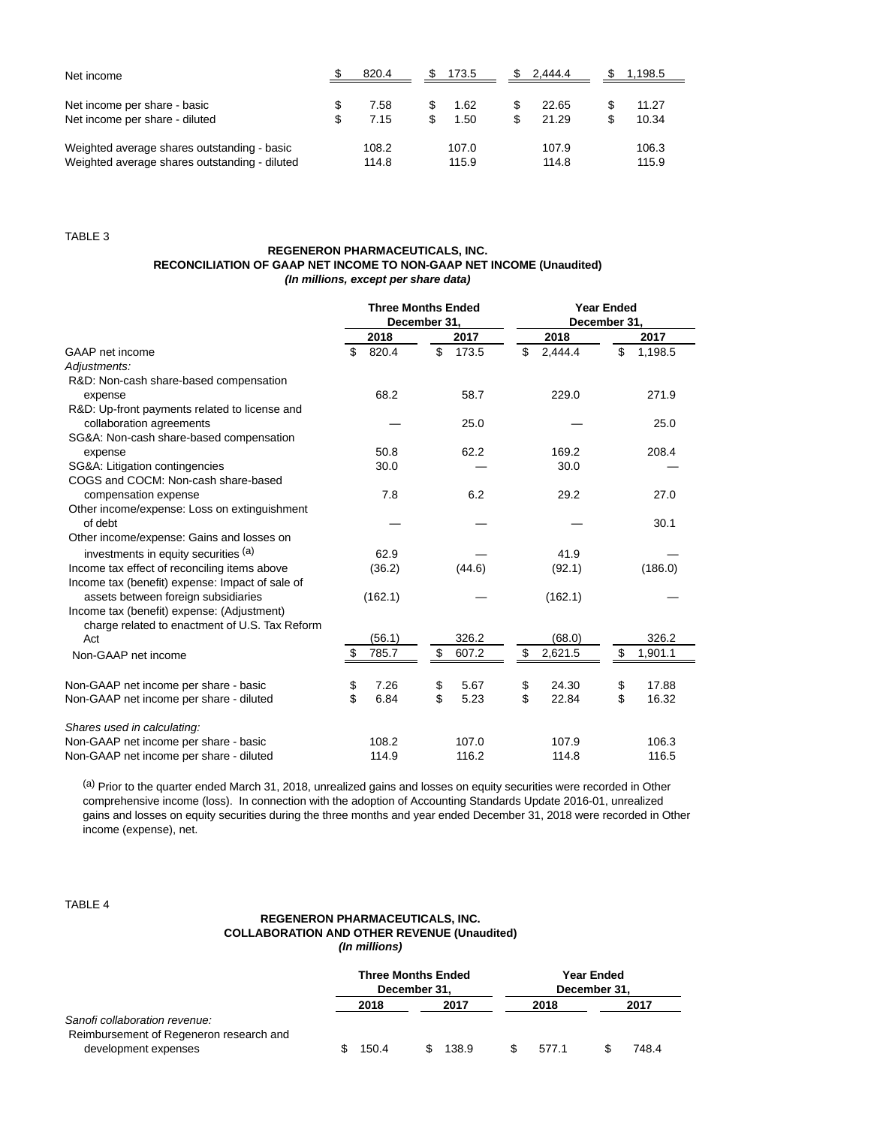| Net income                                                                                   | 820.4          | S       | 173.5          |   | 2.444.4        |   | l.198.5        |
|----------------------------------------------------------------------------------------------|----------------|---------|----------------|---|----------------|---|----------------|
| Net income per share - basic<br>Net income per share - diluted                               | 7.58<br>7.15   | S<br>\$ | 1.62<br>1.50   | S | 22.65<br>21.29 | S | 11.27<br>10.34 |
| Weighted average shares outstanding - basic<br>Weighted average shares outstanding - diluted | 108.2<br>114.8 |         | 107.0<br>115.9 |   | 107.9<br>114.8 |   | 106.3<br>115.9 |

TABLE 3

## **REGENERON PHARMACEUTICALS, INC. RECONCILIATION OF GAAP NET INCOME TO NON-GAAP NET INCOME (Unaudited) (In millions, except per share data)**

|                                                 | <b>Three Months Ended</b><br>December 31, |         |          |        | <b>Year Ended</b><br>December 31, |         |          |         |  |
|-------------------------------------------------|-------------------------------------------|---------|----------|--------|-----------------------------------|---------|----------|---------|--|
|                                                 |                                           | 2018    |          | 2017   |                                   | 2018    |          | 2017    |  |
| GAAP net income                                 | \$                                        | 820.4   | \$       | 173.5  | \$                                | 2,444.4 | \$       | 1,198.5 |  |
| Adjustments:                                    |                                           |         |          |        |                                   |         |          |         |  |
| R&D: Non-cash share-based compensation          |                                           |         |          |        |                                   |         |          |         |  |
| expense                                         |                                           | 68.2    |          | 58.7   |                                   | 229.0   |          | 271.9   |  |
| R&D: Up-front payments related to license and   |                                           |         |          |        |                                   |         |          |         |  |
| collaboration agreements                        |                                           |         |          | 25.0   |                                   |         |          | 25.0    |  |
| SG&A: Non-cash share-based compensation         |                                           |         |          |        |                                   |         |          |         |  |
| expense                                         |                                           | 50.8    |          | 62.2   |                                   | 169.2   |          | 208.4   |  |
| SG&A: Litigation contingencies                  |                                           | 30.0    |          |        |                                   | 30.0    |          |         |  |
| COGS and COCM: Non-cash share-based             |                                           |         |          |        |                                   |         |          |         |  |
| compensation expense                            |                                           | 7.8     |          | 6.2    |                                   | 29.2    |          | 27.0    |  |
| Other income/expense: Loss on extinguishment    |                                           |         |          |        |                                   |         |          |         |  |
| of debt                                         |                                           |         |          |        |                                   |         |          | 30.1    |  |
| Other income/expense: Gains and losses on       |                                           |         |          |        |                                   |         |          |         |  |
| investments in equity securities (a)            |                                           | 62.9    |          |        |                                   | 41.9    |          |         |  |
| Income tax effect of reconciling items above    |                                           | (36.2)  |          | (44.6) |                                   | (92.1)  |          | (186.0) |  |
| Income tax (benefit) expense: Impact of sale of |                                           |         |          |        |                                   |         |          |         |  |
| assets between foreign subsidiaries             |                                           | (162.1) |          |        |                                   | (162.1) |          |         |  |
| Income tax (benefit) expense: (Adjustment)      |                                           |         |          |        |                                   |         |          |         |  |
| charge related to enactment of U.S. Tax Reform  |                                           |         |          |        |                                   |         |          |         |  |
| Act                                             |                                           | (56.1)  |          | 326.2  |                                   | (68.0)  |          | 326.2   |  |
| Non-GAAP net income                             | \$                                        | 785.7   | \$       | 607.2  | $\frac{1}{2}$                     | 2,621.5 | \$       | 1,901.1 |  |
|                                                 |                                           | 7.26    |          | 5.67   |                                   | 24.30   |          | 17.88   |  |
| Non-GAAP net income per share - basic           | \$<br>\$                                  | 6.84    | \$<br>\$ | 5.23   | \$<br>\$                          | 22.84   | \$<br>\$ | 16.32   |  |
| Non-GAAP net income per share - diluted         |                                           |         |          |        |                                   |         |          |         |  |
| Shares used in calculating:                     |                                           |         |          |        |                                   |         |          |         |  |
| Non-GAAP net income per share - basic           |                                           | 108.2   |          | 107.0  |                                   | 107.9   |          | 106.3   |  |
| Non-GAAP net income per share - diluted         |                                           | 114.9   |          | 116.2  |                                   | 114.8   |          | 116.5   |  |

(a) Prior to the quarter ended March 31, 2018, unrealized gains and losses on equity securities were recorded in Other comprehensive income (loss). In connection with the adoption of Accounting Standards Update 2016-01, unrealized gains and losses on equity securities during the three months and year ended December 31, 2018 were recorded in Other income (expense), net.

TABLE 4

#### **REGENERON PHARMACEUTICALS, INC. COLLABORATION AND OTHER REVENUE (Unaudited) (In millions)**

|                                         | <b>Three Months Ended</b><br>December 31. |       |  | Year Ended<br>December 31. |       |  |       |
|-----------------------------------------|-------------------------------------------|-------|--|----------------------------|-------|--|-------|
|                                         |                                           | 2018  |  | 2017                       | 2018  |  | 2017  |
| Sanofi collaboration revenue:           |                                           |       |  |                            |       |  |       |
| Reimbursement of Regeneron research and |                                           |       |  |                            |       |  |       |
| development expenses                    |                                           | 150.4 |  | 138.9                      | 577.1 |  | 748.4 |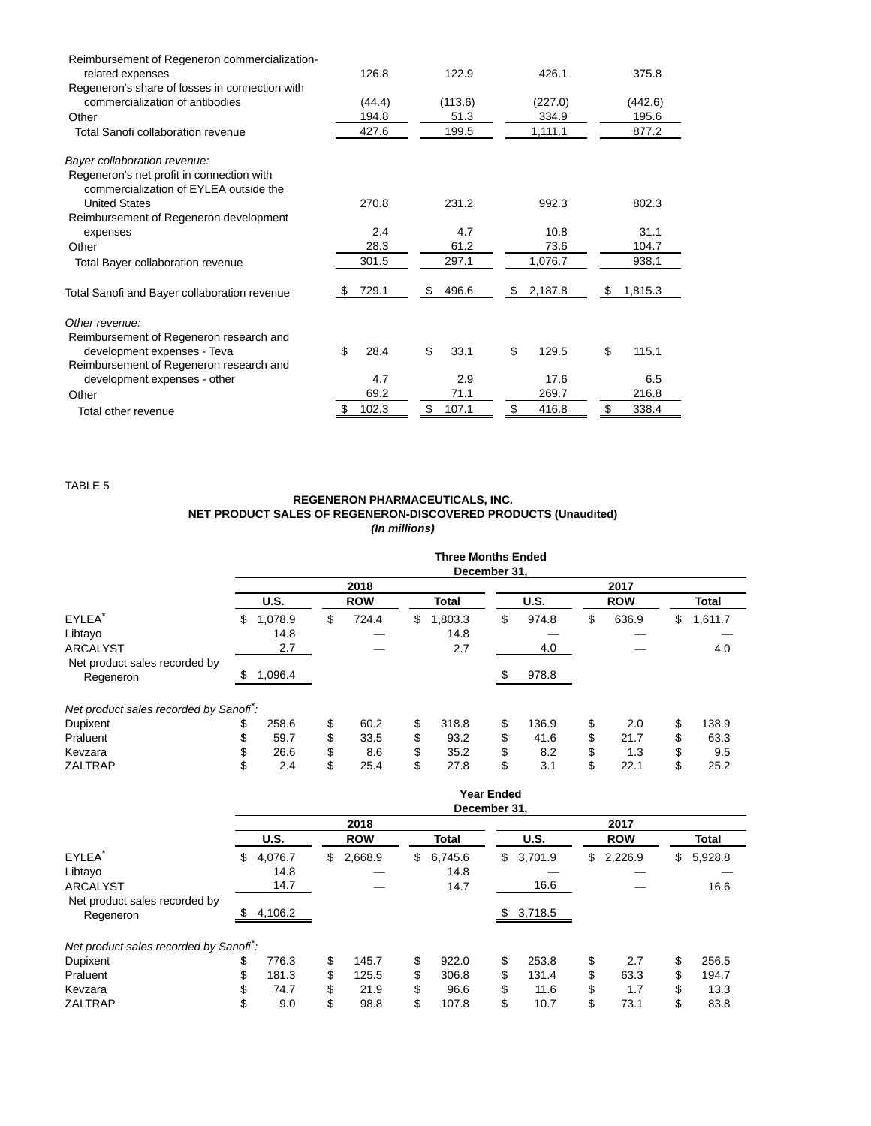| Reimbursement of Regeneron commercialization-  |             |             |             |             |
|------------------------------------------------|-------------|-------------|-------------|-------------|
| related expenses                               | 126.8       | 122.9       | 426.1       | 375.8       |
| Regeneron's share of losses in connection with |             |             |             |             |
| commercialization of antibodies                | (44.4)      | (113.6)     | (227.0)     | (442.6)     |
| Other                                          | 194.8       | 51.3        | 334.9       | 195.6       |
| Total Sanofi collaboration revenue             | 427.6       | 199.5       | 1,111.1     | 877.2       |
| Bayer collaboration revenue:                   |             |             |             |             |
| Regeneron's net profit in connection with      |             |             |             |             |
| commercialization of EYLEA outside the         |             |             |             |             |
| <b>United States</b>                           | 270.8       | 231.2       | 992.3       | 802.3       |
| Reimbursement of Regeneron development         |             |             |             |             |
| expenses                                       | 2.4         | 4.7         | 10.8        | 31.1        |
| Other                                          | 28.3        | 61.2        | 73.6        | 104.7       |
| Total Bayer collaboration revenue              | 301.5       | 297.1       | 1,076.7     | 938.1       |
| Total Sanofi and Bayer collaboration revenue   | 729.1       | 496.6       | \$2,187.8   | 1,815.3     |
| Other revenue:                                 |             |             |             |             |
| Reimbursement of Regeneron research and        |             |             |             |             |
| development expenses - Teva                    | \$<br>28.4  | \$<br>33.1  | \$<br>129.5 | \$<br>115.1 |
| Reimbursement of Regeneron research and        |             |             |             |             |
| development expenses - other                   | 4.7         | 2.9         | 17.6        | 6.5         |
| Other                                          | 69.2        | 71.1        | 269.7       | 216.8       |
| Total other revenue                            | 102.3<br>\$ | \$<br>107.1 | \$<br>416.8 | 338.4<br>\$ |

TABLE 5

#### **REGENERON PHARMACEUTICALS, INC. NET PRODUCT SALES OF REGENERON-DISCOVERED PRODUCTS (Unaudited) (In millions)**

|                                                     | <b>Three Months Ended</b><br>December 31. |         |            |       |              |         |             |       |            |       |              |         |  |
|-----------------------------------------------------|-------------------------------------------|---------|------------|-------|--------------|---------|-------------|-------|------------|-------|--------------|---------|--|
|                                                     | 2018                                      |         |            |       |              |         | 2017        |       |            |       |              |         |  |
|                                                     | <b>U.S.</b>                               |         | <b>ROW</b> |       | <b>Total</b> |         | <b>U.S.</b> |       | <b>ROW</b> |       | <b>Total</b> |         |  |
| EYLEA <sup>*</sup>                                  | \$                                        | 1,078.9 | \$         | 724.4 | \$           | 1,803.3 | \$          | 974.8 | \$         | 636.9 | \$           | 1,611.7 |  |
| Libtayo                                             |                                           | 14.8    |            |       |              | 14.8    |             |       |            |       |              |         |  |
| <b>ARCALYST</b>                                     |                                           | 2.7     |            |       |              | 2.7     |             | 4.0   |            |       |              | 4.0     |  |
| Net product sales recorded by<br>Regeneron          | \$.                                       | 1,096.4 |            |       |              |         |             | 978.8 |            |       |              |         |  |
| Net product sales recorded by Sanofi <sup>*</sup> : |                                           |         |            |       |              |         |             |       |            |       |              |         |  |
| Dupixent                                            | \$                                        | 258.6   | \$         | 60.2  | \$           | 318.8   | \$          | 136.9 | \$         | 2.0   | \$           | 138.9   |  |
| Praluent                                            | \$                                        | 59.7    | \$         | 33.5  | \$           | 93.2    | \$          | 41.6  | \$         | 21.7  | \$           | 63.3    |  |
| Kevzara                                             | \$                                        | 26.6    | \$         | 8.6   | \$           | 35.2    | \$          | 8.2   | \$         | 1.3   | \$           | 9.5     |  |
| <b>ZALTRAP</b>                                      | \$                                        | 2.4     | \$         | 25.4  | \$           | 27.8    | \$          | 3.1   | \$         | 22.1  | \$           | 25.2    |  |

|                                                     | <b>Year Ended</b><br>December 31. |             |    |            |    |              |    |             |    |            |    |         |
|-----------------------------------------------------|-----------------------------------|-------------|----|------------|----|--------------|----|-------------|----|------------|----|---------|
|                                                     |                                   |             |    |            |    |              |    |             |    |            |    |         |
|                                                     | 2018                              |             |    |            |    | 2017         |    |             |    |            |    |         |
|                                                     |                                   | <b>U.S.</b> |    | <b>ROW</b> |    | <b>Total</b> |    | <b>U.S.</b> |    | <b>ROW</b> |    | Total   |
| EYLEA <sup>®</sup>                                  | \$                                | 4,076.7     | \$ | 2,668.9    | \$ | 6,745.6      |    | \$3,701.9   |    | \$2,226.9  | \$ | 5,928.8 |
| Libtayo                                             |                                   | 14.8        |    |            |    | 14.8         |    |             |    |            |    |         |
| <b>ARCALYST</b>                                     |                                   | 14.7        |    |            |    | 14.7         |    | 16.6        |    |            |    | 16.6    |
| Net product sales recorded by<br>Regeneron          |                                   | 4,106.2     |    |            |    |              |    | \$3,718.5   |    |            |    |         |
| Net product sales recorded by Sanofi <sup>*</sup> : |                                   |             |    |            |    |              |    |             |    |            |    |         |
| Dupixent                                            | \$                                | 776.3       | \$ | 145.7      | \$ | 922.0        | \$ | 253.8       | \$ | 2.7        | \$ | 256.5   |
| Praluent                                            | \$                                | 181.3       | \$ | 125.5      | \$ | 306.8        | \$ | 131.4       | \$ | 63.3       | \$ | 194.7   |
| Kevzara                                             |                                   | 74.7        | \$ | 21.9       | \$ | 96.6         | \$ | 11.6        | \$ | 1.7        | S  | 13.3    |
| <b>ZALTRAP</b>                                      | \$                                | 9.0         | \$ | 98.8       | \$ | 107.8        | \$ | 10.7        | \$ | 73.1       | \$ | 83.8    |